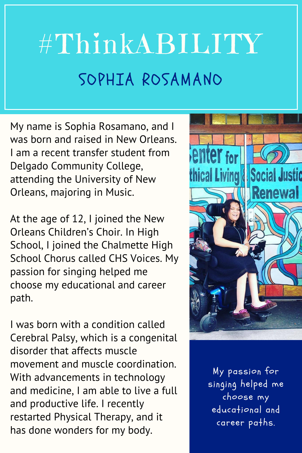## #ThinkABILITY SOPHIA ROSAMANO

My name is Sophia Rosamano, and I was born and raised in New Orleans. I am a recent transfer student from Delgado Community College, attending the University of New Orleans, majoring in Music.

At the age of 12, I joined the New Orleans Children's Choir. In High School, I joined the Chalmette High School Chorus called CHS Voices. My passion for singing helped me choose my educational and career path.

I was born with a condition called Cerebral Palsy, which is a congenital disorder that affects muscle movement and muscle coordination. With advancements in technology and medicine, I am able to live a full and productive life. I recently restarted Physical Therapy, and it has done wonders for my body.



My passion for singing helped me choose my educational and career paths.